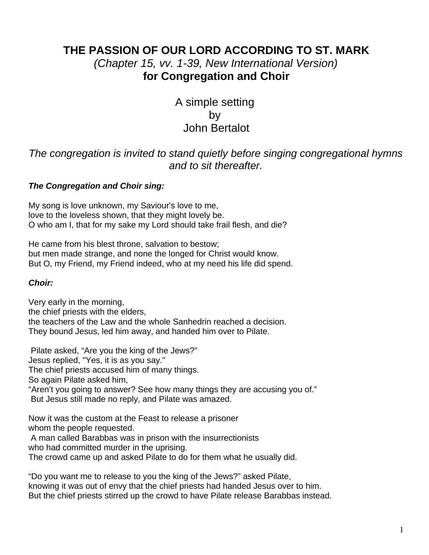# **THE PASSION OF OUR LORD ACCORDING TO ST. MARK**

*(Chapter 15, vv. 1-39, New International Version)* **for Congregation and Choir**

# A simple setting by John Bertalot

# *The congregation is invited to stand quietly before singing congregational hymns and to sit thereafter.*

#### *The Congregation and Choir sing:*

My song is love unknown, my Saviour's love to me, love to the loveless shown, that they might lovely be. O who am I, that for my sake my Lord should take frail flesh, and die?

He came from his blest throne, salvation to bestow; but men made strange, and none the longed for Christ would know. But O, my Friend, my Friend indeed, who at my need his life did spend.

#### *Choir:*

Very early in the morning, the chief priests with the elders, the teachers of the Law and the whole Sanhedrin reached a decision. They bound Jesus, led him away, and handed him over to Pilate.

Pilate asked, "Are you the king of the Jews?"

Jesus replied, "Yes, it is as you say."

The chief priests accused him of many things.

So again Pilate asked him,

"Aren't you going to answer? See how many things they are accusing you of." But Jesus still made no reply, and Pilate was amazed.

Now it was the custom at the Feast to release a prisoner whom the people requested.

A man called Barabbas was in prison with the insurrectionists

who had committed murder in the uprising.

The crowd came up and asked Pilate to do for them what he usually did.

"Do you want me to release to you the king of the Jews?" asked Pilate, knowing it was out of envy that the chief priests had handed Jesus over to him. But the chief priests stirred up the crowd to have Pilate release Barabbas instead.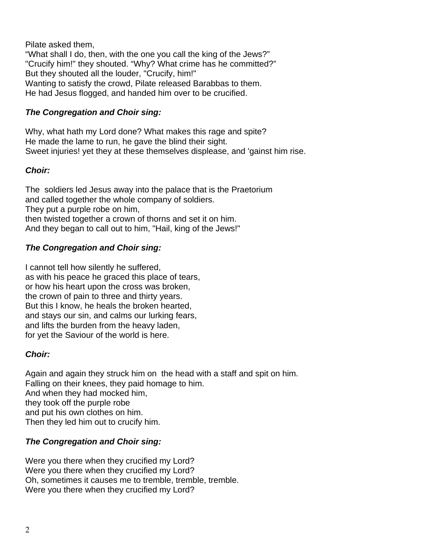Pilate asked them, "What shall I do, then, with the one you call the king of the Jews?" "Crucify him!" they shouted. "Why? What crime has he committed?" But they shouted all the louder, "Crucify, him!" Wanting to satisfy the crowd, Pilate released Barabbas to them. He had Jesus flogged, and handed him over to be crucified.

#### *The Congregation and Choir sing:*

Why, what hath my Lord done? What makes this rage and spite? He made the lame to run, he gave the blind their sight. Sweet injuries! yet they at these themselves displease, and 'gainst him rise.

#### *Choir:*

The soldiers led Jesus away into the palace that is the Praetorium and called together the whole company of soldiers. They put a purple robe on him, then twisted together a crown of thorns and set it on him. And they began to call out to him, "Hail, king of the Jews!"

#### *The Congregation and Choir sing:*

I cannot tell how silently he suffered, as with his peace he graced this place of tears, or how his heart upon the cross was broken, the crown of pain to three and thirty years. But this I know, he heals the broken hearted, and stays our sin, and calms our lurking fears, and lifts the burden from the heavy laden, for yet the Saviour of the world is here.

#### *Choir:*

Again and again they struck him on the head with a staff and spit on him. Falling on their knees, they paid homage to him. And when they had mocked him, they took off the purple robe and put his own clothes on him. Then they led him out to crucify him.

#### *The Congregation and Choir sing:*

Were you there when they crucified my Lord? Were you there when they crucified my Lord? Oh, sometimes it causes me to tremble, tremble, tremble. Were you there when they crucified my Lord?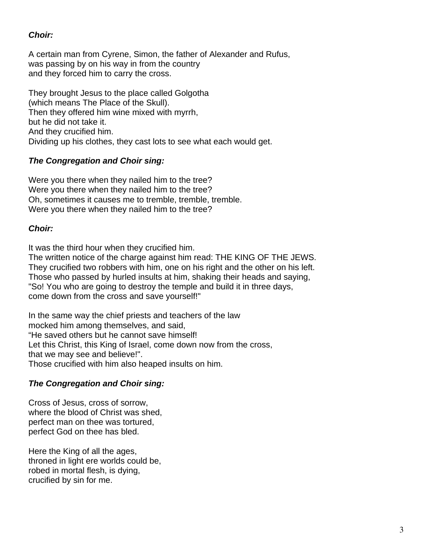# *Choir:*

A certain man from Cyrene, Simon, the father of Alexander and Rufus, was passing by on his way in from the country and they forced him to carry the cross.

They brought Jesus to the place called Golgotha (which means The Place of the Skull). Then they offered him wine mixed with myrrh, but he did not take it. And they crucified him. Dividing up his clothes, they cast lots to see what each would get.

# *The Congregation and Choir sing:*

Were you there when they nailed him to the tree? Were you there when they nailed him to the tree? Oh, sometimes it causes me to tremble, tremble, tremble. Were you there when they nailed him to the tree?

#### *Choir:*

It was the third hour when they crucified him.

The written notice of the charge against him read: THE KING OF THE JEWS. They crucified two robbers with him, one on his right and the other on his left. Those who passed by hurled insults at him, shaking their heads and saying, "So! You who are going to destroy the temple and build it in three days, come down from the cross and save yourself!"

In the same way the chief priests and teachers of the law mocked him among themselves, and said, "He saved others but he cannot save himself! Let this Christ, this King of Israel, come down now from the cross, that we may see and believe!". Those crucified with him also heaped insults on him.

# *The Congregation and Choir sing:*

Cross of Jesus, cross of sorrow, where the blood of Christ was shed, perfect man on thee was tortured, perfect God on thee has bled.

Here the King of all the ages, throned in light ere worlds could be, robed in mortal flesh, is dying, crucified by sin for me.